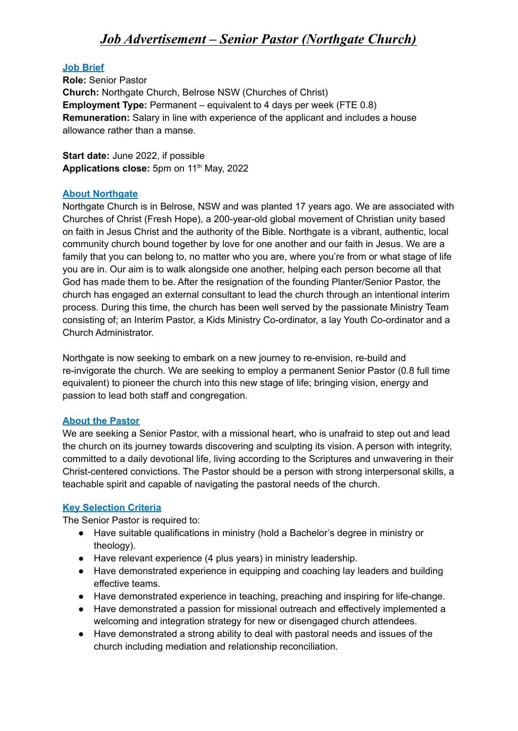# *Job Advertisement – Senior Pastor (Northgate Church)*

### **Job Brief**

**Role:** Senior Pastor **Church:** Northgate Church, Belrose NSW (Churches of Christ) **Employment Type:** Permanent – equivalent to 4 days per week (FTE 0.8) **Remuneration:** Salary in line with experience of the applicant and includes a house allowance rather than a manse.

**Start date:** June 2022, if possible **Applications close:** 5pm on 11 th May, 2022

#### **About Northgate**

Northgate Church is in Belrose, NSW and was planted 17 years ago. We are associated with Churches of Christ (Fresh Hope), a 200-year-old global movement of Christian unity based on faith in Jesus Christ and the authority of the Bible. Northgate is a vibrant, authentic, local community church bound together by love for one another and our faith in Jesus. We are a family that you can belong to, no matter who you are, where you're from or what stage of life you are in. Our aim is to walk alongside one another, helping each person become all that God has made them to be. After the resignation of the founding Planter/Senior Pastor, the church has engaged an external consultant to lead the church through an intentional interim process. During this time, the church has been well served by the passionate Ministry Team consisting of; an Interim Pastor, a Kids Ministry Co-ordinator, a lay Youth Co-ordinator and a Church Administrator.

Northgate is now seeking to embark on a new journey to re-envision, re-build and re-invigorate the church. We are seeking to employ a permanent Senior Pastor (0.8 full time equivalent) to pioneer the church into this new stage of life; bringing vision, energy and passion to lead both staff and congregation.

### **About the Pastor**

We are seeking a Senior Pastor, with a missional heart, who is unafraid to step out and lead the church on its journey towards discovering and sculpting its vision. A person with integrity, committed to a daily devotional life, living according to the Scriptures and unwavering in their Christ-centered convictions. The Pastor should be a person with strong interpersonal skills, a teachable spirit and capable of navigating the pastoral needs of the church.

### **Key Selection Criteria**

The Senior Pastor is required to:

- Have suitable qualifications in ministry (hold a Bachelor's degree in ministry or theology).
- Have relevant experience (4 plus years) in ministry leadership.
- Have demonstrated experience in equipping and coaching lay leaders and building effective teams.
- Have demonstrated experience in teaching, preaching and inspiring for life-change.
- Have demonstrated a passion for missional outreach and effectively implemented a welcoming and integration strategy for new or disengaged church attendees.
- Have demonstrated a strong ability to deal with pastoral needs and issues of the church including mediation and relationship reconciliation.